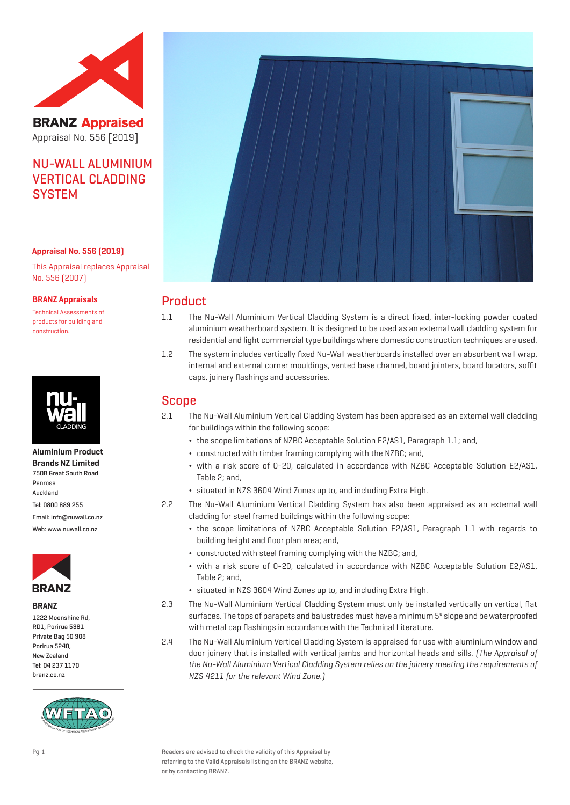

**BRANZ Appraised** Appraisal No. 556 [2019]

# NU-WALL ALUMINIUM VERTICAL CLADDING **SYSTEM**

#### **Appraisal No. 556 (2019)**

This Appraisal replaces Appraisal No. 556 (2007)

#### **BRANZ Appraisals**

Technical Assessments of products for building and construction.



### **Aluminium Product Brands NZ Limited**

750B Great South Road Penrose Auckland Tel: 0800 689 255 Email: info@nuwall.co.nz Web: www.nuwall.co.nz



#### **BRANZ**

1222 Moonshine Rd, RD1, Porirua 5381 Private Bag 50 908 Porirua 5240, New Zealand Tel: 04 237 1170 branz.co.nz





# Product

- 1.1 The Nu-Wall Aluminium Vertical Cladding System is a direct fixed, inter-locking powder coated aluminium weatherboard system. It is designed to be used as an external wall cladding system for residential and light commercial type buildings where domestic construction techniques are used.
- 1.2 The system includes vertically fixed Nu-Wall weatherboards installed over an absorbent wall wrap, internal and external corner mouldings, vented base channel, board jointers, board locators, soffit caps, joinery flashings and accessories.

# Scope

- 2.1 The Nu-Wall Aluminium Vertical Cladding System has been appraised as an external wall cladding for buildings within the following scope:
	- ¬ the scope limitations of NZBC Acceptable Solution E2/AS1, Paragraph 1.1; and,
	- ¬ constructed with timber framing complying with the NZBC; and,
	- ¬ with a risk score of 0-20, calculated in accordance with NZBC Acceptable Solution E2/AS1, Table 2; and,
	- ¬ situated in NZS 3604 Wind Zones up to, and including Extra High.
- 2.2 The Nu-Wall Aluminium Vertical Cladding System has also been appraised as an external wall cladding for steel framed buildings within the following scope:
	- ¬ the scope limitations of NZBC Acceptable Solution E2/AS1, Paragraph 1.1 with regards to building height and floor plan area; and,
	- ¬ constructed with steel framing complying with the NZBC; and,
	- ¬ with a risk score of 0-20, calculated in accordance with NZBC Acceptable Solution E2/AS1, Table 2; and,
	- ¬ situated in NZS 3604 Wind Zones up to, and including Extra High.
- 2.3 The Nu-Wall Aluminium Vertical Cladding System must only be installed vertically on vertical, flat surfaces. The tops of parapets and balustrades must have a minimum 5º slope and be waterproofed with metal cap flashings in accordance with the Technical Literature.
- 2.4 The Nu-Wall Aluminium Vertical Cladding System is appraised for use with aluminium window and door joinery that is installed with vertical jambs and horizontal heads and sills. (The Appraisal of the Nu-Wall Aluminium Vertical Cladding System relies on the joinery meeting the requirements of NZS 4211 for the relevant Wind Zone.)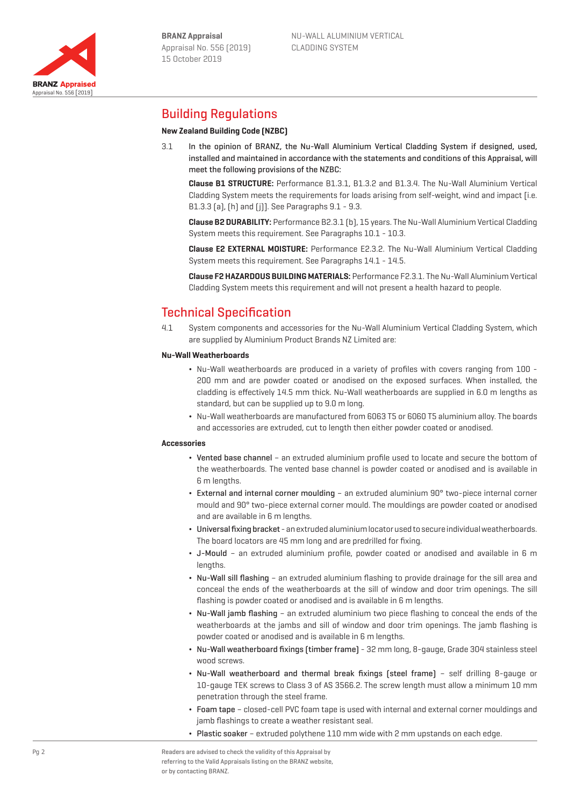Appraisal No. 556 [2019]

**BRANZ Appraised** 



# Building Regulations

## **New Zealand Building Code (NZBC)**

3.1 In the opinion of BRANZ, the Nu-Wall Aluminium Vertical Cladding System if designed, used, installed and maintained in accordance with the statements and conditions of this Appraisal, will meet the following provisions of the NZBC:

**Clause B1 STRUCTURE:** Performance B1.3.1, B1.3.2 and B1.3.4. The Nu-Wall Aluminium Vertical Cladding System meets the requirements for loads arising from self-weight, wind and impact [i.e. B1.3.3 (a), (h) and (j)]. See Paragraphs 9.1 - 9.3.

**Clause B2 DURABILITY:** Performance B2.3.1 (b), 15 years. The Nu-Wall Aluminium Vertical Cladding System meets this requirement. See Paragraphs 10.1 - 10.3.

**Clause E2 EXTERNAL MOISTURE:** Performance E2.3.2. The Nu-Wall Aluminium Vertical Cladding System meets this requirement. See Paragraphs 14.1 - 14.5.

**Clause F2 HAZARDOUS BUILDING MATERIALS:** Performance F2.3.1. The Nu-Wall Aluminium Vertical Cladding System meets this requirement and will not present a health hazard to people.

# Technical Specification

4.1 System components and accessories for the Nu-Wall Aluminium Vertical Cladding System, which are supplied by Aluminium Product Brands NZ Limited are:

#### **Nu-Wall Weatherboards**

- ¬ Nu-Wall weatherboards are produced in a variety of profiles with covers ranging from 100 200 mm and are powder coated or anodised on the exposed surfaces. When installed, the cladding is effectively 14.5 mm thick. Nu-Wall weatherboards are supplied in 6.0 m lengths as standard, but can be supplied up to 9.0 m long.
- ¬ Nu-Wall weatherboards are manufactured from 6063 T5 or 6060 T5 aluminium alloy. The boards and accessories are extruded, cut to length then either powder coated or anodised.

#### **Accessories**

- ¬ Vented base channel an extruded aluminium profile used to locate and secure the bottom of the weatherboards. The vented base channel is powder coated or anodised and is available in 6 m lengths.
- ¬ External and internal corner moulding an extruded aluminium 90° two-piece internal corner mould and 90° two-piece external corner mould. The mouldings are powder coated or anodised and are available in 6 m lengths.
- ¬ Universal fixing bracket an extruded aluminium locator used to secure individual weatherboards. The board locators are 45 mm long and are predrilled for fixing.
- ¬ J-Mould an extruded aluminium profile, powder coated or anodised and available in 6 m lenaths.
- ¬ Nu-Wall sill flashing an extruded aluminium flashing to provide drainage for the sill area and conceal the ends of the weatherboards at the sill of window and door trim openings. The sill flashing is powder coated or anodised and is available in 6 m lengths.
- ¬ Nu-Wall jamb flashing an extruded aluminium two piece flashing to conceal the ends of the weatherboards at the jambs and sill of window and door trim openings. The jamb flashing is powder coated or anodised and is available in 6 m lengths.
- ¬ Nu-Wall weatherboard fixings (timber frame) 32 mm long, 8-gauge, Grade 304 stainless steel wood screws.
- ¬ Nu-Wall weatherboard and thermal break fixings (steel frame) self drilling 8-gauge or 10-gauge TEK screws to Class 3 of AS 3566.2. The screw length must allow a minimum 10 mm penetration through the steel frame.
- ¬ Foam tape closed-cell PVC foam tape is used with internal and external corner mouldings and jamb flashings to create a weather resistant seal.
- ¬ Plastic soaker extruded polythene 110 mm wide with 2 mm upstands on each edge.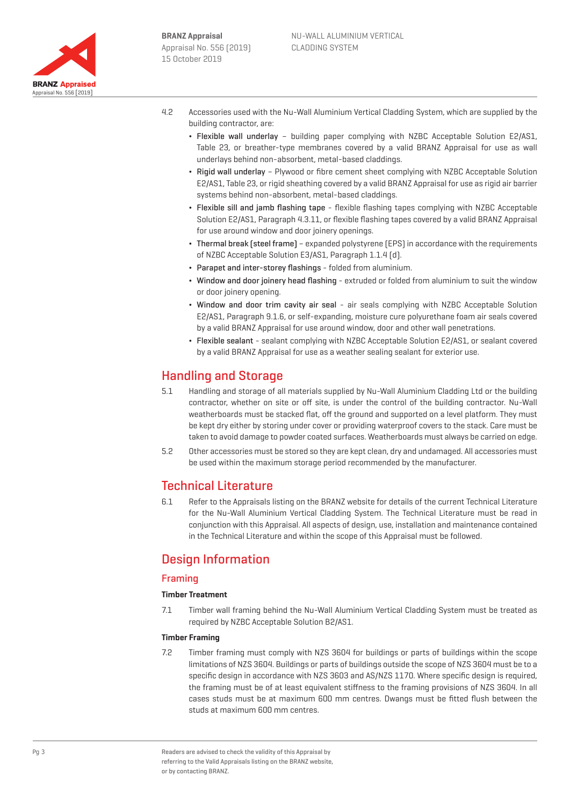

- 4.2 Accessories used with the Nu-Wall Aluminium Vertical Cladding System, which are supplied by the building contractor, are:
	- ¬ Flexible wall underlay building paper complying with NZBC Acceptable Solution E2/AS1, Table 23, or breather-type membranes covered by a valid BRANZ Appraisal for use as wall underlays behind non-absorbent, metal-based claddings.
	- ¬ Rigid wall underlay Plywood or fibre cement sheet complying with NZBC Acceptable Solution E2/AS1, Table 23, or rigid sheathing covered by a valid BRANZ Appraisal for use as rigid air barrier systems behind non-absorbent, metal-based claddings.
	- ¬ Flexible sill and jamb flashing tape flexible flashing tapes complying with NZBC Acceptable Solution E2/AS1, Paragraph 4.3.11, or flexible flashing tapes covered by a valid BRANZ Appraisal for use around window and door joinery openings.
	- ¬ Thermal break (steel frame) expanded polystyrene (EPS) in accordance with the requirements of NZBC Acceptable Solution E3/AS1, Paragraph 1.1.4 (d).
	- ¬ Parapet and inter-storey flashings folded from aluminium.
	- ¬ Window and door joinery head flashing extruded or folded from aluminium to suit the window or door joinery opening.
	- ¬ Window and door trim cavity air seal air seals complying with NZBC Acceptable Solution E2/AS1, Paragraph 9.1.6, or self-expanding, moisture cure polyurethane foam air seals covered by a valid BRANZ Appraisal for use around window, door and other wall penetrations.
	- ¬ Flexible sealant sealant complying with NZBC Acceptable Solution E2/AS1, or sealant covered by a valid BRANZ Appraisal for use as a weather sealing sealant for exterior use.

# Handling and Storage

- 5.1 Handling and storage of all materials supplied by Nu-Wall Aluminium Cladding Ltd or the building contractor, whether on site or off site, is under the control of the building contractor. Nu-Wall weatherboards must be stacked flat, off the ground and supported on a level platform. They must be kept dry either by storing under cover or providing waterproof covers to the stack. Care must be taken to avoid damage to powder coated surfaces. Weatherboards must always be carried on edge.
- 5.2 Other accessories must be stored so they are kept clean, dry and undamaged. All accessories must be used within the maximum storage period recommended by the manufacturer.

# Technical Literature

6.1 Refer to the Appraisals listing on the BRANZ website for details of the current Technical Literature for the Nu-Wall Aluminium Vertical Cladding System. The Technical Literature must be read in conjunction with this Appraisal. All aspects of design, use, installation and maintenance contained in the Technical Literature and within the scope of this Appraisal must be followed.

# Design Information

## Framing

## **Timber Treatment**

7.1 Timber wall framing behind the Nu-Wall Aluminium Vertical Cladding System must be treated as required by NZBC Acceptable Solution B2/AS1.

#### **Timber Framing**

7.2 Timber framing must comply with NZS 3604 for buildings or parts of buildings within the scope limitations of NZS 3604. Buildings or parts of buildings outside the scope of NZS 3604 must be to a specific design in accordance with NZS 3603 and AS/NZS 1170. Where specific design is required, the framing must be of at least equivalent stiffness to the framing provisions of NZS 3604. In all cases studs must be at maximum 600 mm centres. Dwangs must be fitted flush between the studs at maximum 600 mm centres.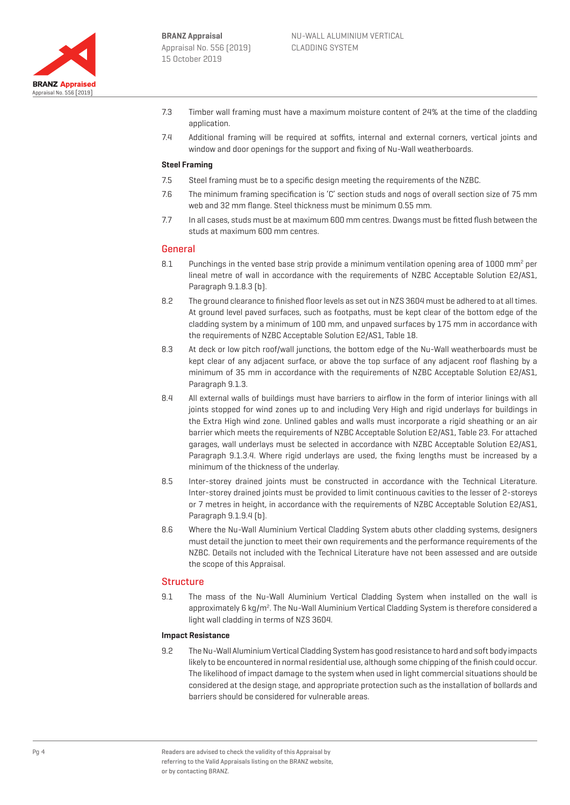

- 7.3 Timber wall framing must have a maximum moisture content of 24% at the time of the cladding annlication
- 7.4 Additional framing will be required at soffits, internal and external corners, vertical joints and window and door openings for the support and fixing of Nu-Wall weatherboards.

### **Steel Framing**

- 7.5 Steel framing must be to a specific design meeting the requirements of the NZBC.
- 7.6 The minimum framing specification is 'C' section studs and nogs of overall section size of 75 mm web and 32 mm flange. Steel thickness must be minimum 0.55 mm.
- 7.7 In all cases, studs must be at maximum 600 mm centres. Dwangs must be fitted flush between the studs at maximum 600 mm centres.

#### General

- 8.1 Punchings in the vented base strip provide a minimum ventilation opening area of 1000 mm<sup>2</sup> per lineal metre of wall in accordance with the requirements of NZBC Acceptable Solution E2/AS1, Paragraph 9.1.8.3 (b).
- 8.2 The ground clearance to finished floor levels as set out in NZS 3604 must be adhered to at all times. At ground level paved surfaces, such as footpaths, must be kept clear of the bottom edge of the cladding system by a minimum of 100 mm, and unpaved surfaces by 175 mm in accordance with the requirements of NZBC Acceptable Solution E2/AS1, Table 18.
- 8.3 At deck or low pitch roof/wall junctions, the bottom edge of the Nu-Wall weatherboards must be kept clear of any adjacent surface, or above the top surface of any adjacent roof flashing by a minimum of 35 mm in accordance with the requirements of NZBC Acceptable Solution E2/AS1, Paragraph 9.1.3.
- 8.4 All external walls of buildings must have barriers to airflow in the form of interior linings with all joints stopped for wind zones up to and including Very High and rigid underlays for buildings in the Extra High wind zone. Unlined gables and walls must incorporate a rigid sheathing or an air barrier which meets the requirements of NZBC Acceptable Solution E2/AS1, Table 23. For attached garages, wall underlays must be selected in accordance with NZBC Acceptable Solution E2/AS1, Paragraph 9.1.3.4. Where rigid underlays are used, the fixing lengths must be increased by a minimum of the thickness of the underlay.
- 8.5 Inter-storey drained joints must be constructed in accordance with the Technical Literature. Inter-storey drained joints must be provided to limit continuous cavities to the lesser of 2-storeys or 7 metres in height, in accordance with the requirements of NZBC Acceptable Solution E2/AS1, Paragraph 9.1.9.4 (b).
- 8.6 Where the Nu-Wall Aluminium Vertical Cladding System abuts other cladding systems, designers must detail the junction to meet their own requirements and the performance requirements of the NZBC. Details not included with the Technical Literature have not been assessed and are outside the scope of this Appraisal.

## **Structure**

9.1 The mass of the Nu-Wall Aluminium Vertical Cladding System when installed on the wall is approximately 6 kg/m<sup>2</sup>. The Nu-Wall Aluminium Vertical Cladding System is therefore considered a light wall cladding in terms of NZS 3604.

#### **Impact Resistance**

9.2 The Nu-Wall Aluminium Vertical Cladding System has good resistance to hard and soft body impacts likely to be encountered in normal residential use, although some chipping of the finish could occur. The likelihood of impact damage to the system when used in light commercial situations should be considered at the design stage, and appropriate protection such as the installation of bollards and barriers should be considered for vulnerable areas.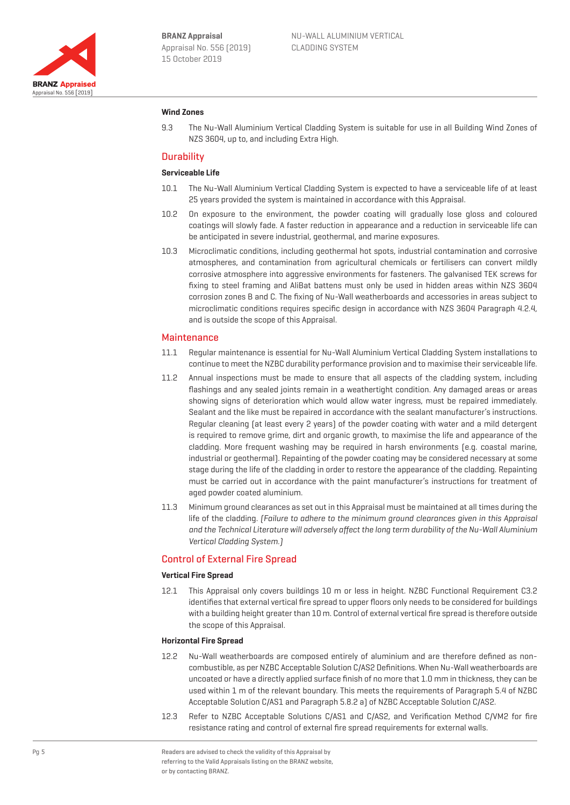

#### **Wind Zones**

9.3 The Nu-Wall Aluminium Vertical Cladding System is suitable for use in all Building Wind Zones of NZS 3604, up to, and including Extra High.

#### **Durability**

#### **Serviceable Life**

- 10.1 The Nu-Wall Aluminium Vertical Cladding System is expected to have a serviceable life of at least 25 years provided the system is maintained in accordance with this Appraisal.
- 10.2 On exposure to the environment, the powder coating will gradually lose gloss and coloured coatings will slowly fade. A faster reduction in appearance and a reduction in serviceable life can be anticipated in severe industrial, geothermal, and marine exposures.
- 10.3 Microclimatic conditions, including geothermal hot spots, industrial contamination and corrosive atmospheres, and contamination from agricultural chemicals or fertilisers can convert mildly corrosive atmosphere into aggressive environments for fasteners. The galvanised TEK screws for fixing to steel framing and AliBat battens must only be used in hidden areas within NZS 3604 corrosion zones B and C. The fixing of Nu-Wall weatherboards and accessories in areas subject to microclimatic conditions requires specific design in accordance with NZS 3604 Paragraph 4.2.4, and is outside the scope of this Appraisal.

#### **Maintenance**

- 11.1 Regular maintenance is essential for Nu-Wall Aluminium Vertical Cladding System installations to continue to meet the NZBC durability performance provision and to maximise their serviceable life.
- 11.2 Annual inspections must be made to ensure that all aspects of the cladding system, including flashings and any sealed joints remain in a weathertight condition. Any damaged areas or areas showing signs of deterioration which would allow water ingress, must be repaired immediately. Sealant and the like must be repaired in accordance with the sealant manufacturer's instructions. Regular cleaning (at least every 2 years) of the powder coating with water and a mild detergent is required to remove grime, dirt and organic growth, to maximise the life and appearance of the cladding. More frequent washing may be required in harsh environments (e.g. coastal marine, industrial or geothermal). Repainting of the powder coating may be considered necessary at some stage during the life of the cladding in order to restore the appearance of the cladding. Repainting must be carried out in accordance with the paint manufacturer's instructions for treatment of aged powder coated aluminium.
- 11.3 Minimum ground clearances as set out in this Appraisal must be maintained at all times during the life of the cladding. (Failure to adhere to the minimum ground clearances given in this Appraisal and the Technical Literature will adversely affect the long term durability of the Nu-Wall Aluminium Vertical Cladding System.)

#### Control of External Fire Spread

#### **Vertical Fire Spread**

12.1 This Appraisal only covers buildings 10 m or less in height. NZBC Functional Requirement C3.2 identifies that external vertical fire spread to upper floors only needs to be considered for buildings with a building height greater than 10 m. Control of external vertical fire spread is therefore outside the scope of this Appraisal.

#### **Horizontal Fire Spread**

- 12.2 Nu-Wall weatherboards are composed entirely of aluminium and are therefore defined as noncombustible, as per NZBC Acceptable Solution C/AS2 Definitions. When Nu-Wall weatherboards are uncoated or have a directly applied surface finish of no more that 1.0 mm in thickness, they can be used within 1 m of the relevant boundary. This meets the requirements of Paragraph 5.4 of NZBC Acceptable Solution C/AS1 and Paragraph 5.8.2 a) of NZBC Acceptable Solution C/AS2.
- 12.3 Refer to NZBC Acceptable Solutions C/AS1 and C/AS2, and Verification Method C/VM2 for fire resistance rating and control of external fire spread requirements for external walls.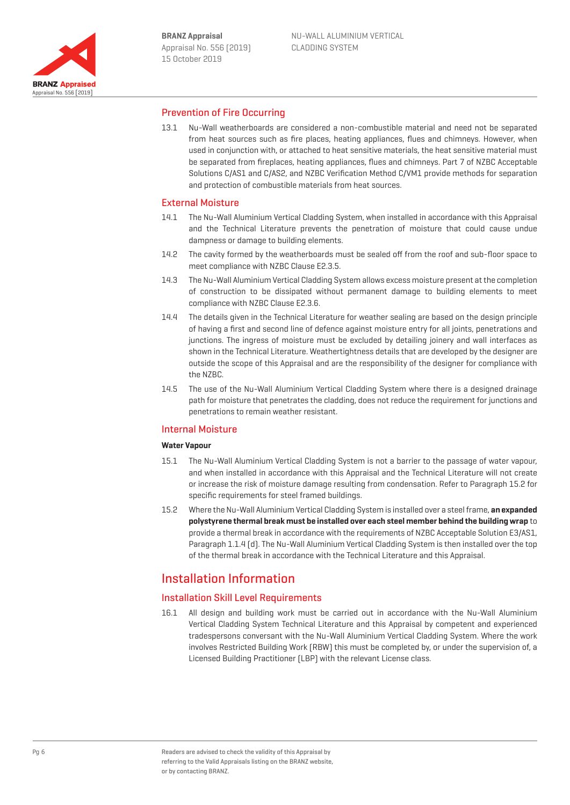

## Prevention of Fire Occurring

13.1 Nu-Wall weatherboards are considered a non-combustible material and need not be separated from heat sources such as fire places, heating appliances, flues and chimneys. However, when used in conjunction with, or attached to heat sensitive materials, the heat sensitive material must be separated from fireplaces, heating appliances, flues and chimneys. Part 7 of NZBC Acceptable Solutions C/AS1 and C/AS2, and NZBC Verification Method C/VM1 provide methods for separation and protection of combustible materials from heat sources.

#### External Moisture

- 14.1 The Nu-Wall Aluminium Vertical Cladding System, when installed in accordance with this Appraisal and the Technical Literature prevents the penetration of moisture that could cause undue dampness or damage to building elements.
- 14.2 The cavity formed by the weatherboards must be sealed off from the roof and sub-floor space to meet compliance with NZBC Clause E2.3.5.
- 14.3 The Nu-Wall Aluminium Vertical Cladding System allows excess moisture present at the completion of construction to be dissipated without permanent damage to building elements to meet compliance with NZBC Clause E2.3.6.
- 14.4 The details given in the Technical Literature for weather sealing are based on the design principle of having a first and second line of defence against moisture entry for all joints, penetrations and junctions. The ingress of moisture must be excluded by detailing joinery and wall interfaces as shown in the Technical Literature. Weathertightness details that are developed by the designer are outside the scope of this Appraisal and are the responsibility of the designer for compliance with the NZBC.
- 14.5 The use of the Nu-Wall Aluminium Vertical Cladding System where there is a designed drainage path for moisture that penetrates the cladding, does not reduce the requirement for junctions and penetrations to remain weather resistant.

## Internal Moisture

#### **Water Vapour**

- 15.1 The Nu-Wall Aluminium Vertical Cladding System is not a barrier to the passage of water vapour, and when installed in accordance with this Appraisal and the Technical Literature will not create or increase the risk of moisture damage resulting from condensation. Refer to Paragraph 15.2 for specific requirements for steel framed buildings.
- 15.2 Where the Nu-Wall Aluminium Vertical Cladding System is installed over a steel frame, **an expanded polystyrene thermal break must be installed over each steel member behind the building wrap** to provide a thermal break in accordance with the requirements of NZBC Acceptable Solution E3/AS1, Paragraph 1.1.4 (d). The Nu-Wall Aluminium Vertical Cladding System is then installed over the top of the thermal break in accordance with the Technical Literature and this Appraisal.

# Installation Information

## Installation Skill Level Requirements

16.1 All design and building work must be carried out in accordance with the Nu-Wall Aluminium Vertical Cladding System Technical Literature and this Appraisal by competent and experienced tradespersons conversant with the Nu-Wall Aluminium Vertical Cladding System. Where the work involves Restricted Building Work (RBW) this must be completed by, or under the supervision of, a Licensed Building Practitioner (LBP) with the relevant License class.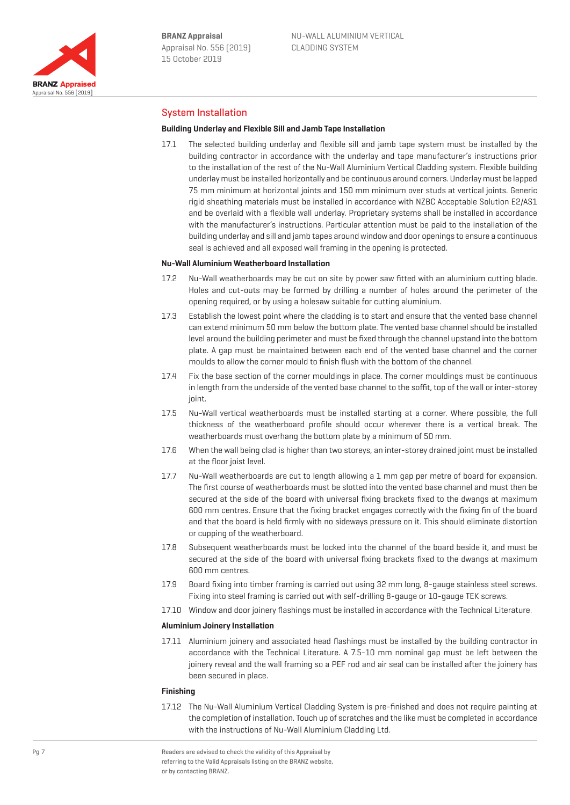

# System Installation

#### **Building Underlay and Flexible Sill and Jamb Tape Installation**

17.1 The selected building underlay and flexible sill and jamb tape system must be installed by the building contractor in accordance with the underlay and tape manufacturer's instructions prior to the installation of the rest of the Nu-Wall Aluminium Vertical Cladding system. Flexible building underlay must be installed horizontally and be continuous around corners. Underlay must be lapped 75 mm minimum at horizontal joints and 150 mm minimum over studs at vertical joints. Generic rigid sheathing materials must be installed in accordance with NZBC Acceptable Solution E2/AS1 and be overlaid with a flexible wall underlay. Proprietary systems shall be installed in accordance with the manufacturer's instructions. Particular attention must be paid to the installation of the building underlay and sill and jamb tapes around window and door openings to ensure a continuous seal is achieved and all exposed wall framing in the opening is protected.

#### **Nu-Wall Aluminium Weatherboard Installation**

- 17.2 Nu-Wall weatherboards may be cut on site by power saw fitted with an aluminium cutting blade. Holes and cut-outs may be formed by drilling a number of holes around the perimeter of the opening required, or by using a holesaw suitable for cutting aluminium.
- 17.3 Establish the lowest point where the cladding is to start and ensure that the vented base channel can extend minimum 50 mm below the bottom plate. The vented base channel should be installed level around the building perimeter and must be fixed through the channel upstand into the bottom plate. A gap must be maintained between each end of the vented base channel and the corner moulds to allow the corner mould to finish flush with the bottom of the channel.
- 17.4 Fix the base section of the corner mouldings in place. The corner mouldings must be continuous in length from the underside of the vented base channel to the soffit, top of the wall or inter-storey joint.
- 17.5 Nu-Wall vertical weatherboards must be installed starting at a corner. Where possible, the full thickness of the weatherboard profile should occur wherever there is a vertical break. The weatherboards must overhang the bottom plate by a minimum of 50 mm.
- 17.6 When the wall being clad is higher than two storeys, an inter-storey drained joint must be installed at the floor joist level.
- 17.7 Nu-Wall weatherboards are cut to length allowing a 1 mm gap per metre of board for expansion. The first course of weatherboards must be slotted into the vented base channel and must then be secured at the side of the board with universal fixing brackets fixed to the dwangs at maximum 600 mm centres. Ensure that the fixing bracket engages correctly with the fixing fin of the board and that the board is held firmly with no sideways pressure on it. This should eliminate distortion or cupping of the weatherboard.
- 17.8 Subsequent weatherboards must be locked into the channel of the board beside it, and must be secured at the side of the board with universal fixing brackets fixed to the dwangs at maximum 600 mm centres.
- 17.9 Board fixing into timber framing is carried out using 32 mm long, 8-gauge stainless steel screws. Fixing into steel framing is carried out with self-drilling 8-gauge or 10-gauge TEK screws.
- 17.10 Window and door joinery flashings must be installed in accordance with the Technical Literature.

#### **Aluminium Joinery Installation**

17.11 Aluminium joinery and associated head flashings must be installed by the building contractor in accordance with the Technical Literature. A 7.5-10 mm nominal gap must be left between the joinery reveal and the wall framing so a PEF rod and air seal can be installed after the joinery has been secured in place.

#### **Finishing**

17.12 The Nu-Wall Aluminium Vertical Cladding System is pre-finished and does not require painting at the completion of installation. Touch up of scratches and the like must be completed in accordance with the instructions of Nu-Wall Aluminium Cladding Ltd.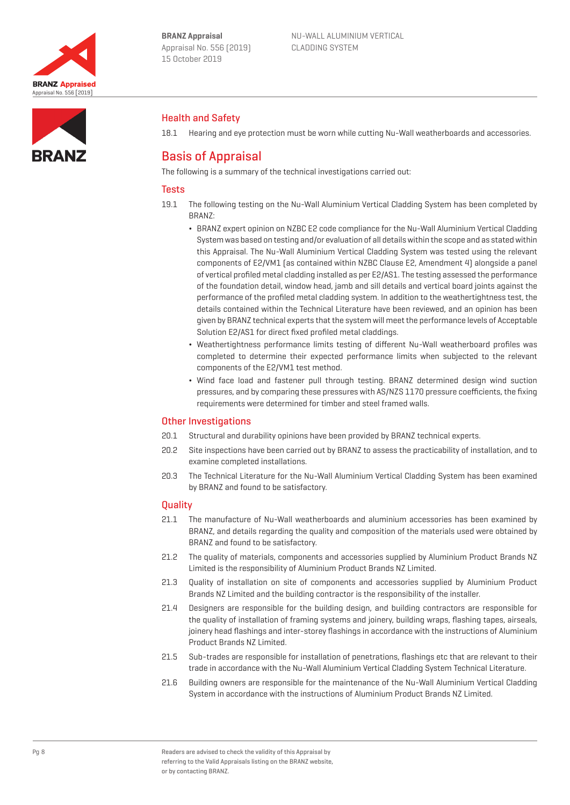

Health and Safety

Basis of Appraisal

NU-WALL ALUMINIUM VERTICAL CLADDING SYSTEM

# **RRANZ**

The following is a summary of the technical investigations carried out:

# **Tests**

19.1 The following testing on the Nu-Wall Aluminium Vertical Cladding System has been completed by BRANZ:

18.1 Hearing and eye protection must be worn while cutting Nu-Wall weatherboards and accessories.

- ¬ BRANZ expert opinion on NZBC E2 code compliance for the Nu-Wall Aluminium Vertical Cladding System was based on testing and/or evaluation of all details within the scope and as stated within this Appraisal. The Nu-Wall Aluminium Vertical Cladding System was tested using the relevant components of E2/VM1 (as contained within NZBC Clause E2, Amendment 4) alongside a panel of vertical profiled metal cladding installed as per E2/AS1. The testing assessed the performance of the foundation detail, window head, jamb and sill details and vertical board joints against the performance of the profiled metal cladding system. In addition to the weathertightness test, the details contained within the Technical Literature have been reviewed, and an opinion has been given by BRANZ technical experts that the system will meet the performance levels of Acceptable Solution E2/AS1 for direct fixed profiled metal claddings.
- ¬ Weathertightness performance limits testing of different Nu-Wall weatherboard profiles was completed to determine their expected performance limits when subjected to the relevant components of the E2/VM1 test method.
- ¬ Wind face load and fastener pull through testing. BRANZ determined design wind suction pressures, and by comparing these pressures with AS/NZS 1170 pressure coefficients, the fixing requirements were determined for timber and steel framed walls.

# Other Investigations

- 20.1 Structural and durability opinions have been provided by BRANZ technical experts.
- 20.2 Site inspections have been carried out by BRANZ to assess the practicability of installation, and to examine completed installations.
- 20.3 The Technical Literature for the Nu-Wall Aluminium Vertical Cladding System has been examined by BRANZ and found to be satisfactory.

# **Ouality**

- 21.1 The manufacture of Nu-Wall weatherboards and aluminium accessories has been examined by BRANZ, and details regarding the quality and composition of the materials used were obtained by BRANZ and found to be satisfactory.
- 21.2 The quality of materials, components and accessories supplied by Aluminium Product Brands NZ Limited is the responsibility of Aluminium Product Brands NZ Limited.
- 21.3 Quality of installation on site of components and accessories supplied by Aluminium Product Brands NZ Limited and the building contractor is the responsibility of the installer.
- 21.4 Designers are responsible for the building design, and building contractors are responsible for the quality of installation of framing systems and joinery, building wraps, flashing tapes, airseals, joinery head flashings and inter-storey flashings in accordance with the instructions of Aluminium Product Brands NZ Limited.
- 21.5 Sub-trades are responsible for installation of penetrations, flashings etc that are relevant to their trade in accordance with the Nu-Wall Aluminium Vertical Cladding System Technical Literature.
- 21.6 Building owners are responsible for the maintenance of the Nu-Wall Aluminium Vertical Cladding System in accordance with the instructions of Aluminium Product Brands NZ Limited.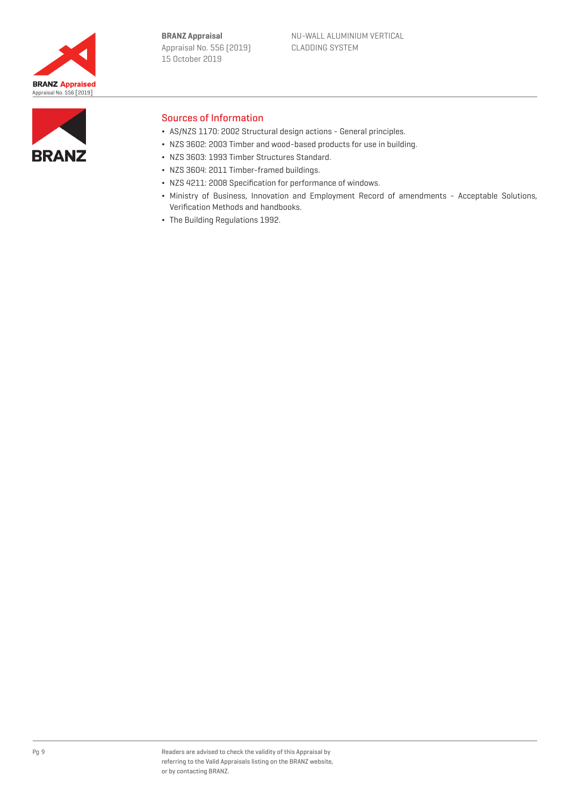



## Sources of Information

- ¬ AS/NZS 1170: 2002 Structural design actions General principles.
- ¬ NZS 3602: 2003 Timber and wood-based products for use in building.
- ¬ NZS 3603: 1993 Timber Structures Standard.
- NZS 3604: 2011 Timber-framed buildings.
- ¬ NZS 4211: 2008 Specification for performance of windows.
- ¬ Ministry of Business, Innovation and Employment Record of amendments Acceptable Solutions, Verification Methods and handbooks.
- ¬ The Building Regulations 1992.